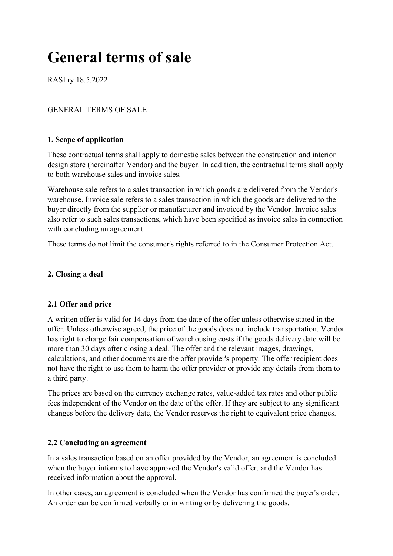# General terms of sale

RASI ry 18.5.2022

# GENERAL TERMS OF SALE

## 1. Scope of application

These contractual terms shall apply to domestic sales between the construction and interior design store (hereinafter Vendor) and the buyer. In addition, the contractual terms shall apply to both warehouse sales and invoice sales.

Warehouse sale refers to a sales transaction in which goods are delivered from the Vendor's warehouse. Invoice sale refers to a sales transaction in which the goods are delivered to the buyer directly from the supplier or manufacturer and invoiced by the Vendor. Invoice sales also refer to such sales transactions, which have been specified as invoice sales in connection with concluding an agreement.

These terms do not limit the consumer's rights referred to in the Consumer Protection Act.

#### 2. Closing a deal

## 2.1 Offer and price

A written offer is valid for 14 days from the date of the offer unless otherwise stated in the offer. Unless otherwise agreed, the price of the goods does not include transportation. Vendor has right to charge fair compensation of warehousing costs if the goods delivery date will be more than 30 days after closing a deal. The offer and the relevant images, drawings, calculations, and other documents are the offer provider's property. The offer recipient does not have the right to use them to harm the offer provider or provide any details from them to a third party.

The prices are based on the currency exchange rates, value-added tax rates and other public fees independent of the Vendor on the date of the offer. If they are subject to any significant changes before the delivery date, the Vendor reserves the right to equivalent price changes.

## 2.2 Concluding an agreement

In a sales transaction based on an offer provided by the Vendor, an agreement is concluded when the buyer informs to have approved the Vendor's valid offer, and the Vendor has received information about the approval.

In other cases, an agreement is concluded when the Vendor has confirmed the buyer's order. An order can be confirmed verbally or in writing or by delivering the goods.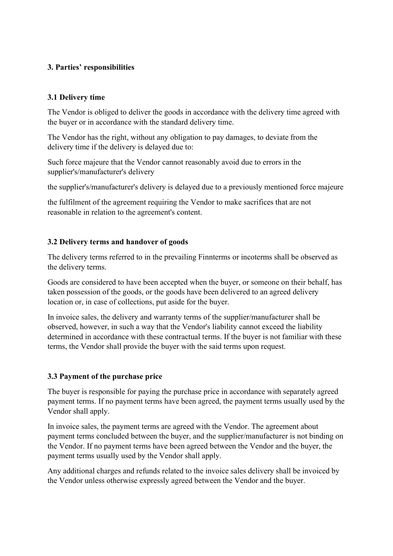# 3. Parties' responsibilities

# 3.1 Delivery time

The Vendor is obliged to deliver the goods in accordance with the delivery time agreed with the buyer or in accordance with the standard delivery time.

The Vendor has the right, without any obligation to pay damages, to deviate from the delivery time if the delivery is delayed due to:

Such force majeure that the Vendor cannot reasonably avoid due to errors in the supplier's/manufacturer's delivery

the supplier's/manufacturer's delivery is delayed due to a previously mentioned force majeure

the fulfilment of the agreement requiring the Vendor to make sacrifices that are not reasonable in relation to the agreement's content.

# 3.2 Delivery terms and handover of goods

The delivery terms referred to in the prevailing Finnterms or incoterms shall be observed as the delivery terms.

Goods are considered to have been accepted when the buyer, or someone on their behalf, has taken possession of the goods, or the goods have been delivered to an agreed delivery location or, in case of collections, put aside for the buyer.

In invoice sales, the delivery and warranty terms of the supplier/manufacturer shall be observed, however, in such a way that the Vendor's liability cannot exceed the liability determined in accordance with these contractual terms. If the buyer is not familiar with these terms, the Vendor shall provide the buyer with the said terms upon request.

## 3.3 Payment of the purchase price

The buyer is responsible for paying the purchase price in accordance with separately agreed payment terms. If no payment terms have been agreed, the payment terms usually used by the Vendor shall apply.

In invoice sales, the payment terms are agreed with the Vendor. The agreement about payment terms concluded between the buyer, and the supplier/manufacturer is not binding on the Vendor. If no payment terms have been agreed between the Vendor and the buyer, the payment terms usually used by the Vendor shall apply.

Any additional charges and refunds related to the invoice sales delivery shall be invoiced by the Vendor unless otherwise expressly agreed between the Vendor and the buyer.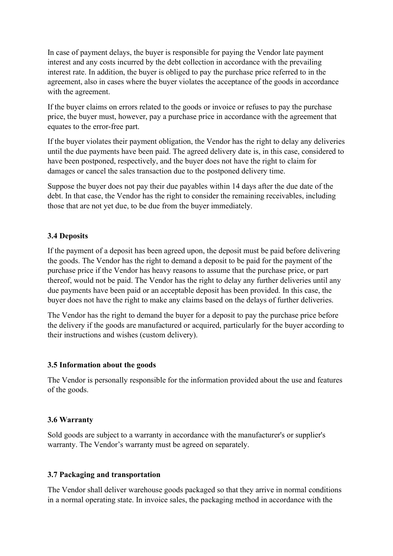In case of payment delays, the buyer is responsible for paying the Vendor late payment interest and any costs incurred by the debt collection in accordance with the prevailing interest rate. In addition, the buyer is obliged to pay the purchase price referred to in the agreement, also in cases where the buyer violates the acceptance of the goods in accordance with the agreement.

If the buyer claims on errors related to the goods or invoice or refuses to pay the purchase price, the buyer must, however, pay a purchase price in accordance with the agreement that equates to the error-free part.

If the buyer violates their payment obligation, the Vendor has the right to delay any deliveries until the due payments have been paid. The agreed delivery date is, in this case, considered to have been postponed, respectively, and the buyer does not have the right to claim for damages or cancel the sales transaction due to the postponed delivery time.

Suppose the buyer does not pay their due payables within 14 days after the due date of the debt. In that case, the Vendor has the right to consider the remaining receivables, including those that are not yet due, to be due from the buyer immediately.

# 3.4 Deposits

If the payment of a deposit has been agreed upon, the deposit must be paid before delivering the goods. The Vendor has the right to demand a deposit to be paid for the payment of the purchase price if the Vendor has heavy reasons to assume that the purchase price, or part thereof, would not be paid. The Vendor has the right to delay any further deliveries until any due payments have been paid or an acceptable deposit has been provided. In this case, the buyer does not have the right to make any claims based on the delays of further deliveries.

The Vendor has the right to demand the buyer for a deposit to pay the purchase price before the delivery if the goods are manufactured or acquired, particularly for the buyer according to their instructions and wishes (custom delivery).

## 3.5 Information about the goods

The Vendor is personally responsible for the information provided about the use and features of the goods.

## 3.6 Warranty

Sold goods are subject to a warranty in accordance with the manufacturer's or supplier's warranty. The Vendor's warranty must be agreed on separately.

#### 3.7 Packaging and transportation

The Vendor shall deliver warehouse goods packaged so that they arrive in normal conditions in a normal operating state. In invoice sales, the packaging method in accordance with the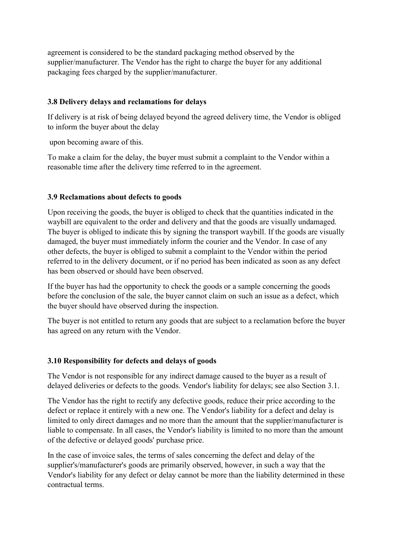agreement is considered to be the standard packaging method observed by the supplier/manufacturer. The Vendor has the right to charge the buyer for any additional packaging fees charged by the supplier/manufacturer.

## 3.8 Delivery delays and reclamations for delays

If delivery is at risk of being delayed beyond the agreed delivery time, the Vendor is obliged to inform the buyer about the delay

upon becoming aware of this.

To make a claim for the delay, the buyer must submit a complaint to the Vendor within a reasonable time after the delivery time referred to in the agreement.

## 3.9 Reclamations about defects to goods

Upon receiving the goods, the buyer is obliged to check that the quantities indicated in the waybill are equivalent to the order and delivery and that the goods are visually undamaged. The buyer is obliged to indicate this by signing the transport waybill. If the goods are visually damaged, the buyer must immediately inform the courier and the Vendor. In case of any other defects, the buyer is obliged to submit a complaint to the Vendor within the period referred to in the delivery document, or if no period has been indicated as soon as any defect has been observed or should have been observed.

If the buyer has had the opportunity to check the goods or a sample concerning the goods before the conclusion of the sale, the buyer cannot claim on such an issue as a defect, which the buyer should have observed during the inspection.

The buyer is not entitled to return any goods that are subject to a reclamation before the buyer has agreed on any return with the Vendor.

## 3.10 Responsibility for defects and delays of goods

The Vendor is not responsible for any indirect damage caused to the buyer as a result of delayed deliveries or defects to the goods. Vendor's liability for delays; see also Section 3.1.

The Vendor has the right to rectify any defective goods, reduce their price according to the defect or replace it entirely with a new one. The Vendor's liability for a defect and delay is limited to only direct damages and no more than the amount that the supplier/manufacturer is liable to compensate. In all cases, the Vendor's liability is limited to no more than the amount of the defective or delayed goods' purchase price.

In the case of invoice sales, the terms of sales concerning the defect and delay of the supplier's/manufacturer's goods are primarily observed, however, in such a way that the Vendor's liability for any defect or delay cannot be more than the liability determined in these contractual terms.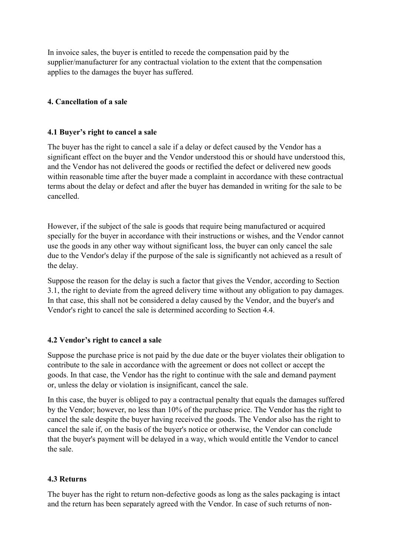In invoice sales, the buyer is entitled to recede the compensation paid by the supplier/manufacturer for any contractual violation to the extent that the compensation applies to the damages the buyer has suffered.

## 4. Cancellation of a sale

## 4.1 Buyer's right to cancel a sale

The buyer has the right to cancel a sale if a delay or defect caused by the Vendor has a significant effect on the buyer and the Vendor understood this or should have understood this, and the Vendor has not delivered the goods or rectified the defect or delivered new goods within reasonable time after the buyer made a complaint in accordance with these contractual terms about the delay or defect and after the buyer has demanded in writing for the sale to be cancelled.

However, if the subject of the sale is goods that require being manufactured or acquired specially for the buyer in accordance with their instructions or wishes, and the Vendor cannot use the goods in any other way without significant loss, the buyer can only cancel the sale due to the Vendor's delay if the purpose of the sale is significantly not achieved as a result of the delay.

Suppose the reason for the delay is such a factor that gives the Vendor, according to Section 3.1, the right to deviate from the agreed delivery time without any obligation to pay damages. In that case, this shall not be considered a delay caused by the Vendor, and the buyer's and Vendor's right to cancel the sale is determined according to Section 4.4.

## 4.2 Vendor's right to cancel a sale

Suppose the purchase price is not paid by the due date or the buyer violates their obligation to contribute to the sale in accordance with the agreement or does not collect or accept the goods. In that case, the Vendor has the right to continue with the sale and demand payment or, unless the delay or violation is insignificant, cancel the sale.

In this case, the buyer is obliged to pay a contractual penalty that equals the damages suffered by the Vendor; however, no less than 10% of the purchase price. The Vendor has the right to cancel the sale despite the buyer having received the goods. The Vendor also has the right to cancel the sale if, on the basis of the buyer's notice or otherwise, the Vendor can conclude that the buyer's payment will be delayed in a way, which would entitle the Vendor to cancel the sale.

## 4.3 Returns

The buyer has the right to return non-defective goods as long as the sales packaging is intact and the return has been separately agreed with the Vendor. In case of such returns of non